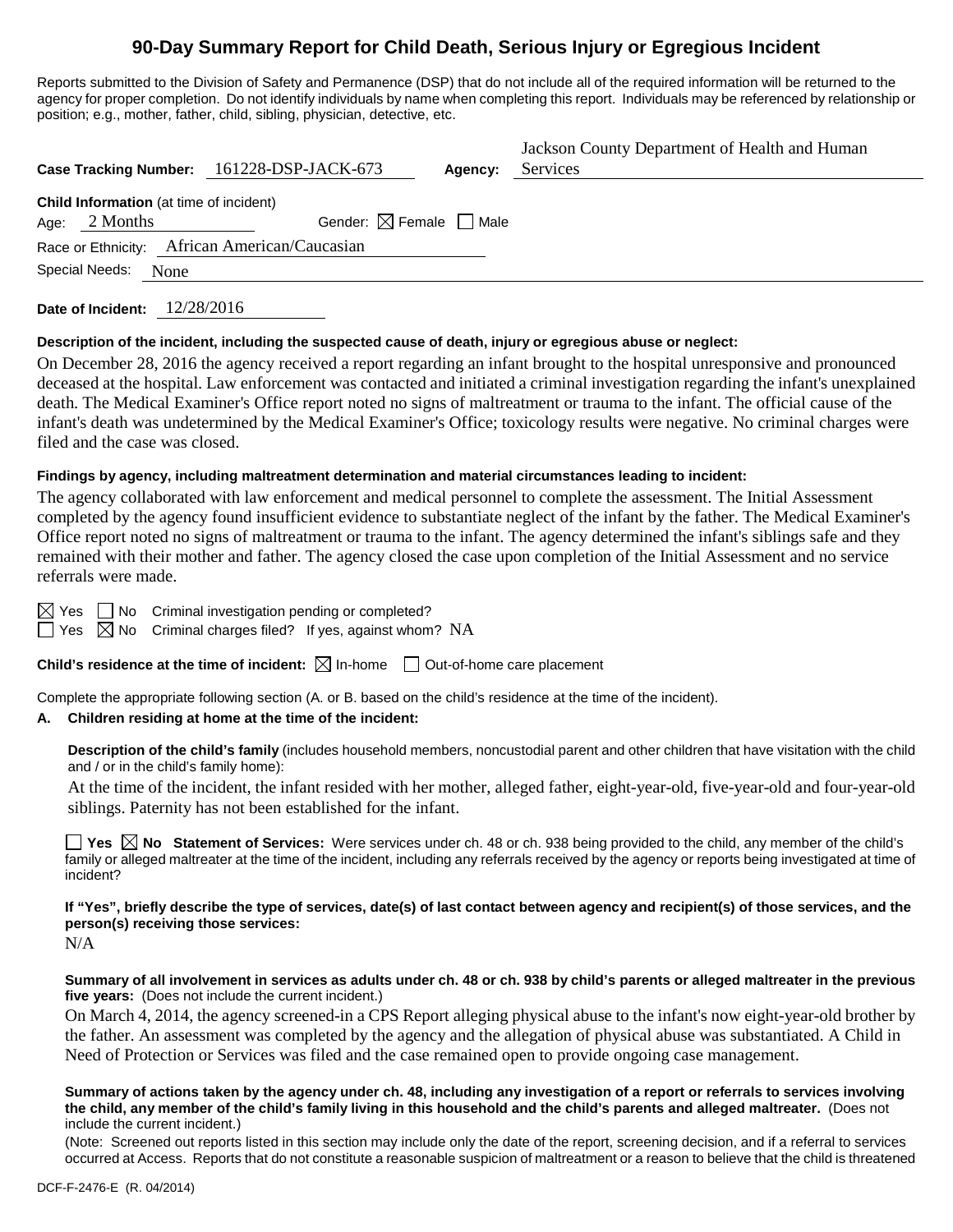# **90-Day Summary Report for Child Death, Serious Injury or Egregious Incident**

Reports submitted to the Division of Safety and Permanence (DSP) that do not include all of the required information will be returned to the agency for proper completion. Do not identify individuals by name when completing this report. Individuals may be referenced by relationship or position; e.g., mother, father, child, sibling, physician, detective, etc.

|                                                                      | Case Tracking Number: 161228-DSP-JACK-673 | Agency: | Jackson County Department of Health and Human<br>Services |
|----------------------------------------------------------------------|-------------------------------------------|---------|-----------------------------------------------------------|
| <b>Child Information</b> (at time of incident)<br>Age: $2$ Months    | Gender: $\boxtimes$ Female $\Box$ Male    |         |                                                           |
| Race or Ethnicity: African American/Caucasian<br>Special Needs: None |                                           |         |                                                           |

**Date of Incident:** 12/28/2016

# **Description of the incident, including the suspected cause of death, injury or egregious abuse or neglect:**

On December 28, 2016 the agency received a report regarding an infant brought to the hospital unresponsive and pronounced deceased at the hospital. Law enforcement was contacted and initiated a criminal investigation regarding the infant's unexplained death. The Medical Examiner's Office report noted no signs of maltreatment or trauma to the infant. The official cause of the infant's death was undetermined by the Medical Examiner's Office; toxicology results were negative. No criminal charges were filed and the case was closed.

# **Findings by agency, including maltreatment determination and material circumstances leading to incident:**

The agency collaborated with law enforcement and medical personnel to complete the assessment. The Initial Assessment completed by the agency found insufficient evidence to substantiate neglect of the infant by the father. The Medical Examiner's Office report noted no signs of maltreatment or trauma to the infant. The agency determined the infant's siblings safe and they remained with their mother and father. The agency closed the case upon completion of the Initial Assessment and no service referrals were made.

 $\boxtimes$  Yes  $\Box$  No Criminal investigation pending or completed?

 $\Box$  Yes  $\boxtimes$  No Criminal charges filed? If yes, against whom? NA

**Child's residence at the time of incident:**  $\boxtimes$  In-home  $\Box$  Out-of-home care placement

Complete the appropriate following section (A. or B. based on the child's residence at the time of the incident).

# **A. Children residing at home at the time of the incident:**

**Description of the child's family** (includes household members, noncustodial parent and other children that have visitation with the child and / or in the child's family home):

At the time of the incident, the infant resided with her mother, alleged father, eight-year-old, five-year-old and four-year-old siblings. Paternity has not been established for the infant.

**Yes No Statement of Services:** Were services under ch. 48 or ch. 938 being provided to the child, any member of the child's family or alleged maltreater at the time of the incident, including any referrals received by the agency or reports being investigated at time of incident?

**If "Yes", briefly describe the type of services, date(s) of last contact between agency and recipient(s) of those services, and the person(s) receiving those services:**

N/A

**Summary of all involvement in services as adults under ch. 48 or ch. 938 by child's parents or alleged maltreater in the previous five years:** (Does not include the current incident.)

On March 4, 2014, the agency screened-in a CPS Report alleging physical abuse to the infant's now eight-year-old brother by the father. An assessment was completed by the agency and the allegation of physical abuse was substantiated. A Child in Need of Protection or Services was filed and the case remained open to provide ongoing case management.

#### **Summary of actions taken by the agency under ch. 48, including any investigation of a report or referrals to services involving the child, any member of the child's family living in this household and the child's parents and alleged maltreater.** (Does not include the current incident.)

(Note: Screened out reports listed in this section may include only the date of the report, screening decision, and if a referral to services occurred at Access. Reports that do not constitute a reasonable suspicion of maltreatment or a reason to believe that the child is threatened